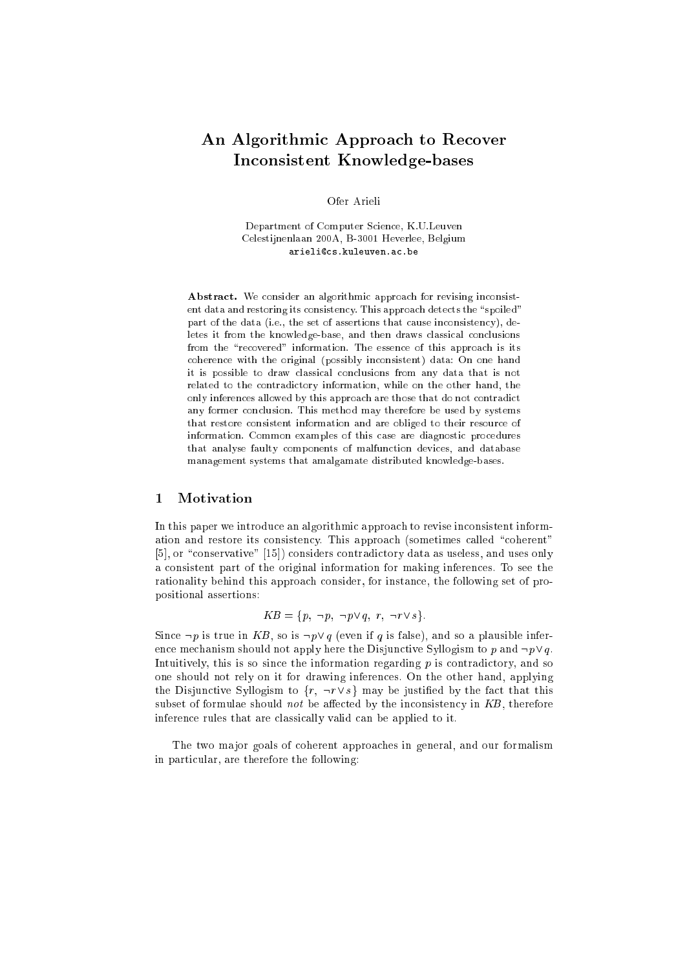# An Algorithmic Approach to Recover Inconsistent Knowledge-bases

Department of Computer Science, K.U.Leuven Celestijnenlaan 200A, B-3001 Heverlee, Belgium arieli@cs.kuleuven.ac.be

Abstract. We consider an algorithmic approach for revising inconsistent data and restoring its consistency. This approach detects the "spoiled" part of the data (i.e., the set of assertions that cause inconsistency), deletes it from the knowledge-base, and then draws classical conclusions from the "recovered" information. The essence of this approach is its coherence with the original (possibly inconsistent) data: On one hand it is possible to draw classical conclusions from any data that is not related to the contradictory information, while on the other hand, the only inferences allowed by this approach are those that do not contradict any former conclusion. This method may therefore be used by systems that restore consistent information and are obliged to their resource of information. Common examples of this case are diagnostic procedures that analyse faulty components of malfunction devices, and database management systems that amalgamate distributed knowledge-bases.

# 1 Motivation

In this paper we introduce an algorithmic approach to revise inconsistent information and restore its consistency. This approach (sometimes called "coherent"  $[5]$ , or "conservative"  $[15]$ ) considers contradictory data as useless, and uses only a consistent part of the original information for making inferences. To see the rationality behind this approach consider, for instance, the following set of propositional assertions:

$$
KB = \{p, \neg p, \neg p \lor q, r, \neg r \lor s\}.
$$

Since  $\neg p$  is true in KB, so is  $\neg p \lor q$  (even if q is false), and so a plausible inference mechanism should not apply here the Disjunctive Syllogism to p and  $\neg p \lor q$ . Intuitively, this is so since the information regarding  $p$  is contradictory, and so one should not rely on it for drawing inferences. On the other hand, applying the Disjunctive Syllogism to  $\{r, \neg r \vee s\}$  may be justified by the fact that this subset of formulae should not be affected by the inconsistency in  $KB$ , therefore inference rules that are classically valid can be applied to it.

The two major goals of coherent approaches in general, and our formalism in particular, are therefore the following: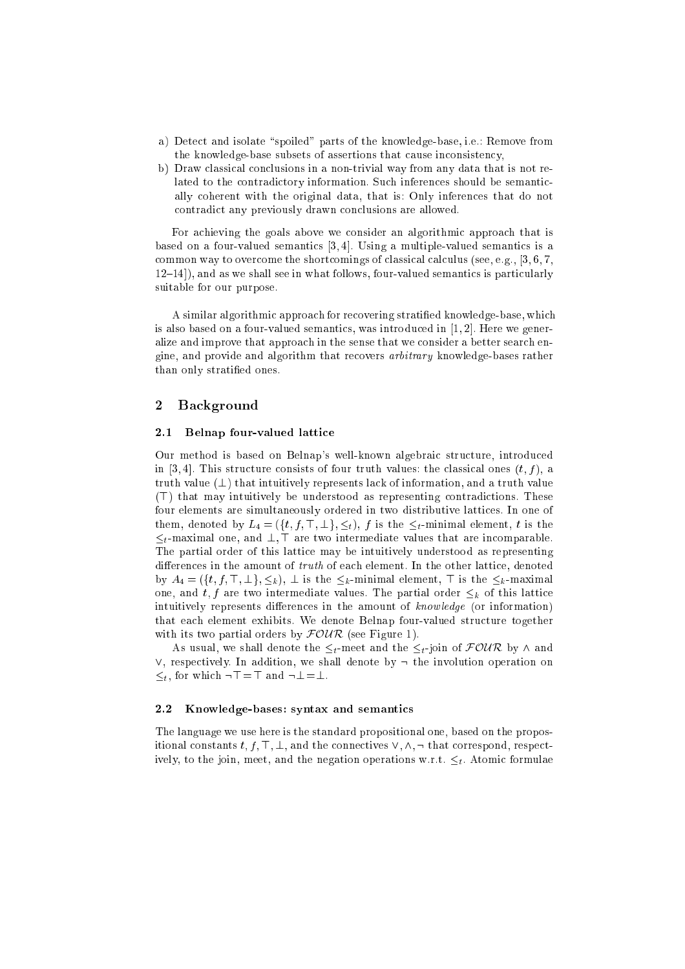- a) Detect and isolate "spoiled" parts of the knowledge-base, i.e.: Remove from the knowledge-base subsets of assertions that cause inconsistency,
- b) Draw classical conclusions in a non-trivial way from any data that is not related to the contradictory information. Such inferences should be semantically coherent with the original data, that is: Only inferences that do not contradict any previously drawn conclusions are allowed.

For achieving the goals above we consider an algorithmic approach that is based on a four-valued semantics [3, 4]. Using a multiple-valued semantics is a common way to overcome the shortcomings of classical calculus (see, e.g., [3, 6, 7,  $12–14$ ), and as we shall see in what follows, four-valued semantics is particularly suitable for our purpose.

A similar algorithmic approach for recovering stratied knowledge-base, which is also based on a four-valued semantics, was introduced in  $[1, 2]$ . Here we generalize and improve that approach in the sense that we consider a better search engine, and provide and algorithm that recovers *arbitrary* knowledge-bases rather than only stratied ones.

# 2 Background

#### 2.1 Belnap four-valued lattice

Our method is based on Belnap's well-known algebraic structure, introduced in [3, 4]. This structure consists of four truth values: the classical ones  $(t, f)$ , a truth value  $(\perp)$  that intuitively represents lack of information, and a truth value  $(T)$  that may intuitively be understood as representing contradictions. These four elements are simultaneously ordered in two distributive lattices. In one of them, denoted by  $L_4 = (\{t, f, \top, \bot\}, \leq_t), f$  is the  $\leq_t$ -minimal element, t is the  $\leq_t$ -maximal one, and  $\perp$ , T are two intermediate values that are incomparable. The partial order of this lattice may be intuitively understood as representing differences in the amount of  $truth$  of each element. In the other lattice, denoted by  $A_4 = (\lbrace t, f, \top, \bot \rbrace, \leq_k), \bot$  is the  $\leq_k$ -minimal element,  $\top$  is the  $\leq_k$ -maximal one, and  $t, f$  are two intermediate values. The partial order  $\leq_k$  of this lattice intuitively represents differences in the amount of  $knowledge$  (or information) that each element exhibits. We denote Belnap four-valued structure together with its two partial orders by  $\mathcal{FOUR}$  (see Figure 1).

As usual, we shall denote the  $\leq_t$ -meet and the  $\leq_t$ -join of  $\mathcal{FOUR}$  by  $\wedge$  and  $\vee$ , respectively. In addition, we shall denote by  $\neg$  the involution operation on  $\leq_t$ , for which  $\neg$ T = T and  $\neg$   $\bot$  =  $\bot$ .

#### 2.2 Knowledge-bases: syntax and semantics

The language we use here is the standard propositional one, based on the propositional constants t, f,  $\top$ ,  $\bot$ , and the connectives  $\vee$ ,  $\wedge$ ,  $\neg$  that correspond, respectively, to the join, meet, and the negation operations w.r.t.  $\leq_t$ . Atomic formulae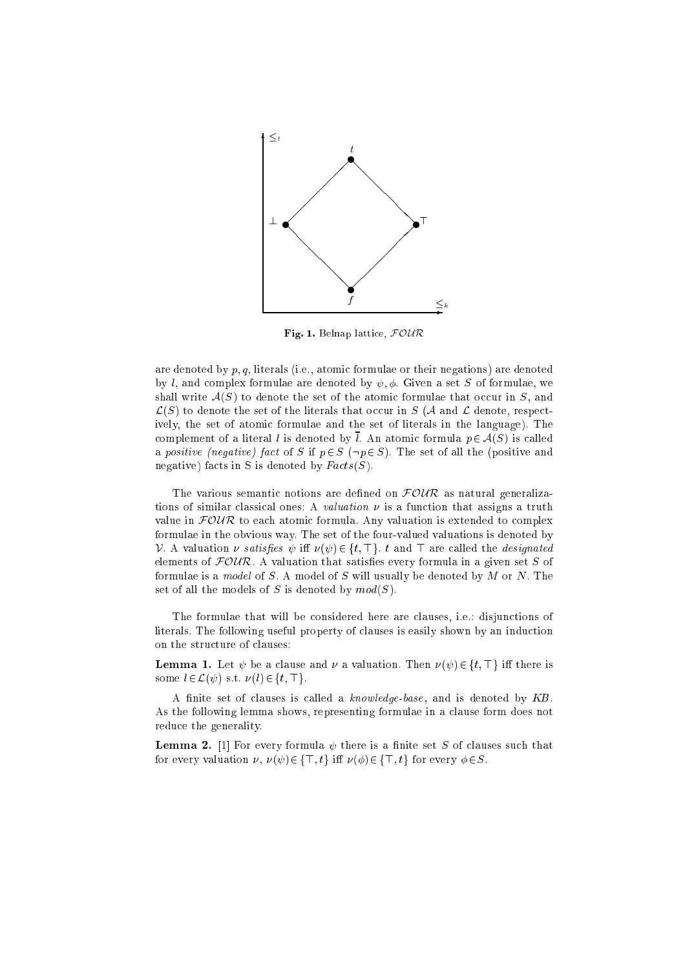

Fig. 1. Belnap lattice,  $\mathcal{FOUR}$ 

are denoted by  $p, q$ , literals (i.e., atomic formulae or their negations) are denoted by l, and complex formulae are denoted by  $\psi$ ,  $\phi$ . Given a set S of formulae, we shall write  $A(S)$  to denote the set of the atomic formulae that occur in S, and  $\mathcal{L}(S)$  to denote the set of the literals that occur in S (A and L denote, respectively, the set of atomic formulae and the set of literals in the language). The complement of a literal l is denoted by  $\overline{l}$ . An atomic formula  $p \in \mathcal{A}(S)$  is called a positive (negative) fact of S if  $p \in S$  ( $\neg p \in S$ ). The set of all the (positive and negative) facts in S is denoted by  $Facts(S)$ .

The various semantic notions are defined on  $FOUR$  as natural generalizations of similar classical ones: A *valuation*  $\nu$  is a function that assigns a truth value in  $FOWR$  to each atomic formula. Any valuation is extended to complex formulae in the obvious way. The set of the four-valued valuations is denoted by V. A valuation v satisfies  $\psi$  iff  $\nu(\psi) \in \{t, \top\}$ , t and  $\top$  are called the *designated* elements of  $FOWR$ . A valuation that satisfies every formula in a given set S of formulae is a model of  $S$ . A model of  $S$  will usually be denoted by  $M$  or  $N$ . The set of all the models of S is denoted by  $mod(S)$ .

The formulae that will be considered here are clauses, i.e.: disjunctions of literals. The following useful property of clauses is easily shown by an induction on the structure of clauses:

**Lemma 1.** Let  $\psi$  be a clause and  $\nu$  a valuation. Then  $\nu(\psi) \in \{t, \top\}$  iff there is some  $l \in \mathcal{L}(\psi)$  s.t.  $\nu(l) \in \{t, \top\}.$ 

A finite set of clauses is called a knowledge-base, and is denoted by KB. As the following lemma shows, representing formulae in a clause form does not reduce the generality.

**Lemma 2.** [1] For every formula  $\psi$  there is a finite set S of clauses such that for every valuation  $\nu$ ,  $\nu(\psi) \in \{\top, t\}$  iff  $\nu(\phi) \in \{\top, t\}$  for every  $\phi \in S$ .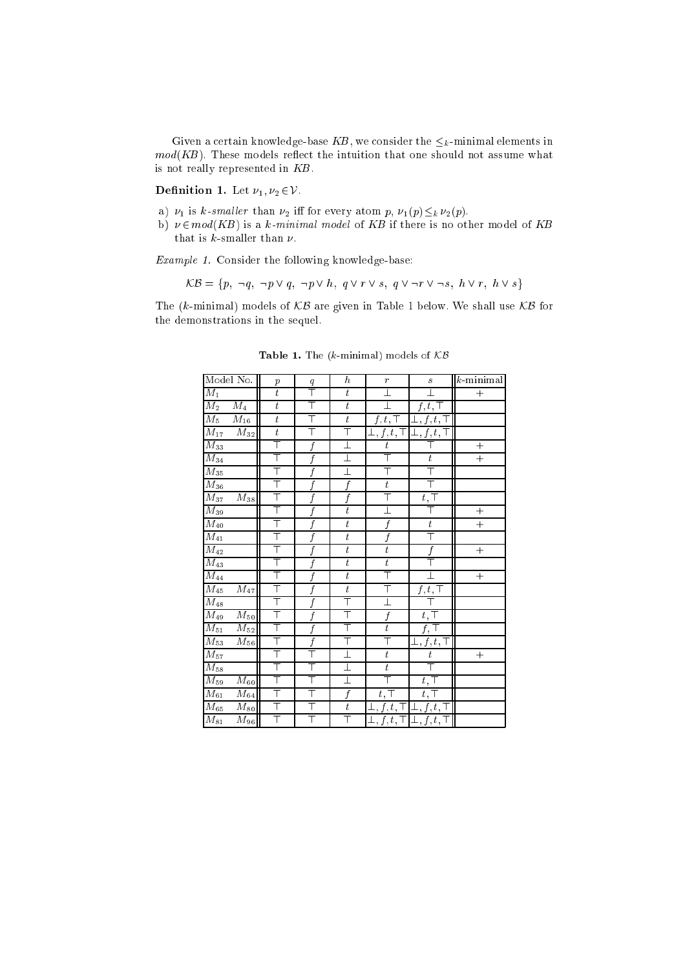Given a certain knowledge-base KB, we consider the  $\leq_k$ -minimal elements in  $mod(KB)$ . These models reflect the intuition that one should not assume what is not really represented in KB.

**Definition 1.** Let  $\nu_1, \nu_2 \in \mathcal{V}$ .

- a)  $\nu_1$  is k-smaller than  $\nu_2$  iff for every atom p,  $\nu_1(p) \leq_k \nu_2(p)$ .
- b)  $\nu \in mod(KB)$  is a k-minimal model of KB if there is no other model of KB that is k-smaller than  $\nu$ .

Example 1. Consider the following knowledge-base:

$$
\mathcal{KB} = \{p, \neg q, \neg p \lor q, \neg p \lor h, q \lor r \lor s, q \lor \neg r \lor \neg s, h \lor r, h \lor s\}
$$

The (k-minimal) models of  $KB$  are given in Table 1 below. We shall use  $KB$  for the demonstrations in the sequel.

| Model No.                       | $\boldsymbol{p}$ | q          | $\boldsymbol{h}$ | $\overline{r}$                        | $\boldsymbol{S}$                        | $k$ -minimal |
|---------------------------------|------------------|------------|------------------|---------------------------------------|-----------------------------------------|--------------|
| $M_1$                           | $\overline{t}$   |            | $\bar{t}$        | $\perp$                               |                                         | $^{+}$       |
| $M_2 - M_4$                     | $\bar{t}$        |            | $\overline{t}$   |                                       | $\overline{f},t,\top$                   |              |
| $\overline{M_5 - M_{16}}$       | $\boldsymbol{t}$ |            | $\overline{t}$   | $f, t, \top$                          | $\overline{\bot, f, t}, \top$           |              |
| $\overline{M_{17}-M_{32}}$      | $\boldsymbol{t}$ |            | T                | $\bot, f, \overline{t, \top}$         | $\perp, f, t, \top$                     |              |
| $M_{33}$                        | T                |            | $\perp$          | $\overline{t}$                        |                                         | $\! +$       |
| $M_{34}$                        | T                | $\ddot{f}$ | I                |                                       | $\boldsymbol{t}$                        | $^{+}$       |
| $M_{35}$                        | Τ                |            | T                | T                                     | Τ                                       |              |
| $M_{36}$                        | T                |            | $\overline{f}$   | $\boldsymbol{t}$                      |                                         |              |
| $\overline{M_{37}-M_{38}}$      | T                |            | $\overline{f}$   | T                                     | $t,\overline{\top}$                     |              |
| $M_{39}$                        | Τ                |            | $\boldsymbol{t}$ | $\overline{\bot}$                     | Τ                                       | $^{+}$       |
| $M_{40}$                        | T                |            | $\boldsymbol{t}$ | $\overline{f}$                        | $\boldsymbol{t}$                        | $^{+}$       |
| $M_{41}$                        | T                |            | $\overline{t}$   | f                                     | T                                       |              |
| $\overline{M}_{42}$             | T                |            | $\boldsymbol{t}$ | $\boldsymbol{t}$                      | f                                       | $^{+}$       |
| $\overline{M}_{43}$             | T                |            | $\bar{t}$        | $\boldsymbol{t}$                      |                                         |              |
| $M_{44}$                        | T                |            | $\boldsymbol{t}$ | T                                     |                                         | $^{+}$       |
| $\overline{M}_{45}$ – $M_{47} $ | T                |            | $\overline{t}$   | T                                     | $\overline{f,t},\top$                   |              |
| $M_{48}$                        | T                |            | T                | $\perp$                               |                                         |              |
| $\overline{M}_{49}$ – $M_{50}$  | T                |            | Τ                | $\boldsymbol{f}$                      | $t, \top$                               |              |
| $M_{51} - M_{52}$               | T                | f          | T                | $\overline{t}$                        | f, T                                    |              |
| $M_{53} - M_{56}$               | T                |            | Τ                | Τ                                     | $\bot, f, t, \top$                      |              |
| $\overline{M}_{57}$             | T                |            | $\perp$          | $\boldsymbol{t}$                      | $\boldsymbol{t}$                        | $^{+}$       |
| $M_{58}$                        | T                |            | $\perp$          | $\bar{t}$                             | Ŧ                                       |              |
| $M_{59} - M_{60}$               | T                |            | I                | Τ                                     | $t, \top$                               |              |
| $M_{61} - M_{64}$               | Τ                |            | $\overline{f}$   | $t, \top$                             | $t, \top$                               |              |
| $\overline{M_{65}-M_{80}}$      | T                |            | $\boldsymbol{t}$ | $\bot,f,t,\top\,\vert\,\bot,f,t,\top$ |                                         |              |
| $\overline{M}_{81}$ – $M_{96}$  | T                | Τ          | T                |                                       | $\bot, f, t, \top   \bot, f, t, \top  $ |              |

Table 1. The ( $k$ -minimal) models of  $KB$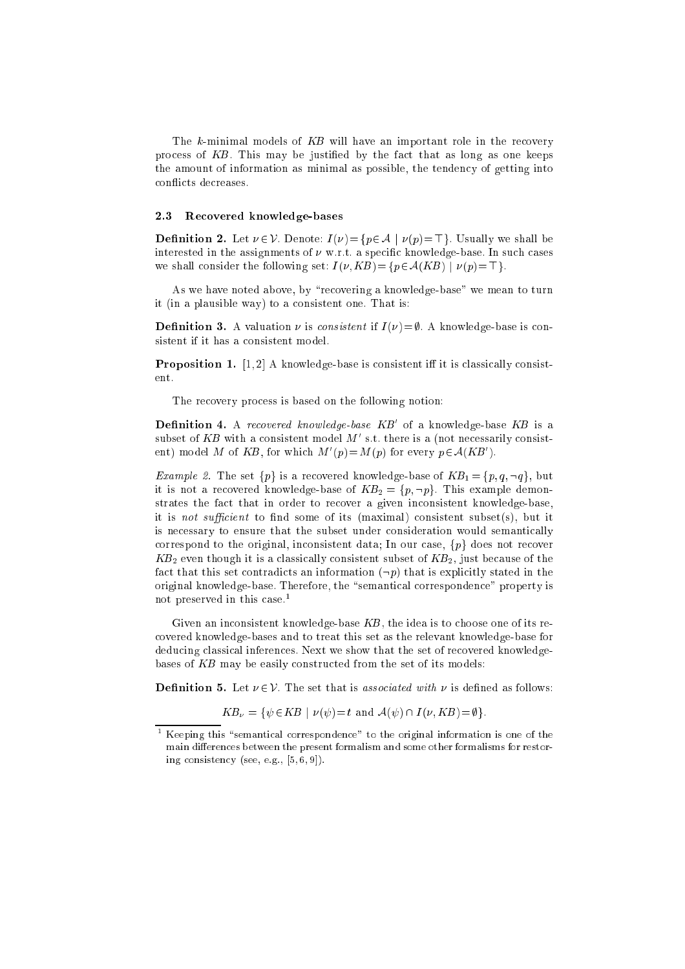The k-minimal models of KB will have an important role in the recovery process of KB. This may be justified by the fact that as long as one keeps the amount of information as minimal as possible, the tendency of getting into con
icts decreases.

#### 2.3 Recovered knowledge-bases

**Definition 2.** Let  $\nu \in V$ . Denote:  $I(\nu) = \{p \in A \mid \nu(p) = \top\}$ . Usually we shall be interested in the assignments of  $\nu$  w.r.t. a specific knowledge-base. In such cases we shall consider the following set:  $I(\nu, KB) = \{p \in A(KB) \mid \nu(p) = \top\}.$ 

As we have noted above, by "recovering a knowledge-base" we mean to turn it (in a plausible way) to a consistent one. That is:

**Definition 3.** A valuation  $\nu$  is *consistent* if  $I(\nu) = \emptyset$ . A knowledge-base is consistent if it has a consistent model.

**Proposition 1.** [1, 2] A knowledge-base is consistent iff it is classically consistent.

The recovery process is based on the following notion:

**Definition 4.** A recovered knowledge-base  $KB'$  of a knowledge-base  $KB$  is a subset of KB with a consistent model M' s.t. there is a (not necessarily consistent) model M of KB, for which  $M'(p) = M(p)$  for every  $p \in A(KB')$ .

*Example 2.* The set  $\{p\}$  is a recovered knowledge-base of  $KB_1 = \{p, q, \neg q\}$ , but it is not a recovered knowledge-base of  $KB_2 = \{p, \neg p\}$ . This example demonstrates the fact that in order to recover a given inconsistent knowledge-base, it is *not sufficient* to find some of its (maximal) consistent subset(s), but it is necessary to ensure that the subset under consideration would semantically correspond to the original, inconsistent data; In our case,  $\{p\}$  does not recover  $KB_2$  even though it is a classically consistent subset of  $KB_2$ , just because of the fact that this set contradicts an information  $(\neg p)$  that is explicitly stated in the original knowledge-base. Therefore, the "semantical correspondence" property is not preserved in this case.<sup>1</sup>

Given an inconsistent knowledge-base  $KB$ , the idea is to choose one of its recovered knowledge-bases and to treat this set as the relevant knowledge-base for deducing classical inferences. Next we show that the set of recovered knowledgebases of KB may be easily constructed from the set of its models:

**Definition 5.** Let  $\nu \in \mathcal{V}$ . The set that is associated with  $\nu$  is defined as follows:

$$
KB_{\nu} = \{ \psi \in KB \mid \nu(\psi) = t \text{ and } \mathcal{A}(\psi) \cap I(\nu, KB) = \emptyset \}.
$$

 $^\circ$  Keeping this "semantical correspondence" to the original information is one of the main differences between the present formalism and some other formalisms for restoring consistency (see, e.g., [5, 6, 9]).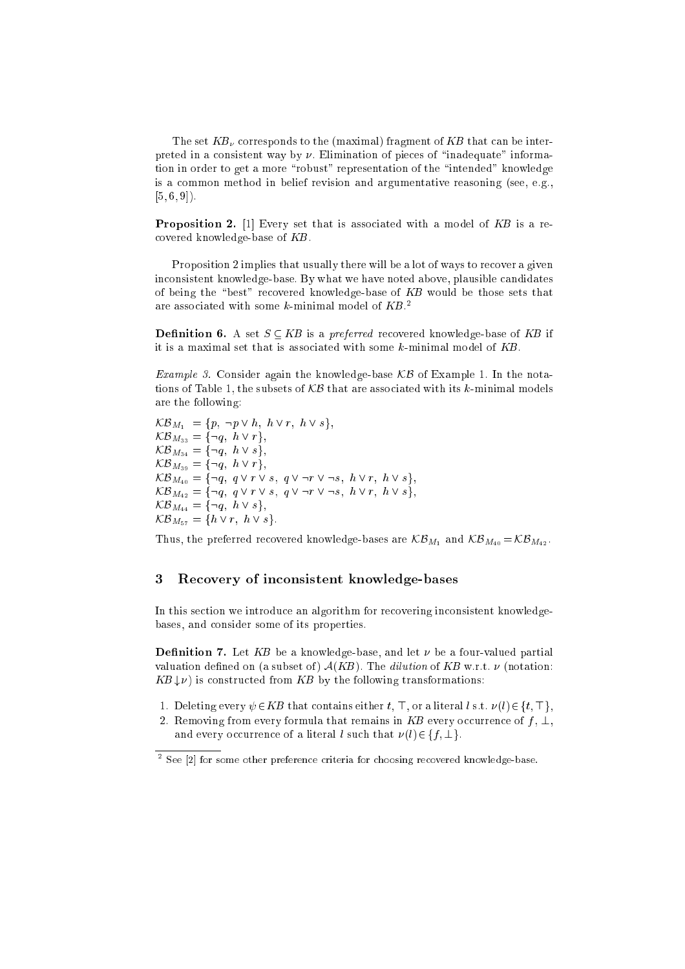The set  $KB<sub>v</sub>$  corresponds to the (maximal) fragment of KB that can be interpreted in a consistent way by  $\nu$ . Elimination of pieces of "inadequate" information in order to get a more "robust" representation of the "intended" knowledge is a common method in belief revision and argumentative reasoning (see, e.g.,  $[5, 6, 9]$ .

**Proposition 2.** [1] Every set that is associated with a model of  $KB$  is a recovered knowledge-base of KB.

Proposition 2 implies that usually there will be a lot of ways to recover a given inconsistent knowledge-base. By what we have noted above, plausible candidates of being the "best" recovered knowledge-base of  $KB$  would be those sets that are associated with some  $k$  minimal model of  $KB$   $^2$ 

**Definition 6.** A set  $S \subseteq KB$  is a preferred recovered knowledge-base of KB if it is a maximal set that is associated with some  $k$ -minimal model of  $KB$ .

Example 3. Consider again the knowledge-base KB of Example 1. In the notations of Table 1, the subsets of  $KB$  that are associated with its k-minimal models are the following:

 $\mathcal{KB}_{M_1} = \{p, \neg p \vee h, h \vee r, h \vee s\},\$  $KB_{M_{33}} = {\neg q, h \vee r},$  $KB_{M_{34}} = {\neg q, h \vee s}$ ,  $KB_{M_{39}} = {\neg q, h \vee r},$  $\mathcal{KB}_{M_{40}} = {\neg q, q \lor r \lor s, q \lor \neg r \lor \neg s, h \lor r, h \lor s},$  $\mathcal{KB}_{M_{42}} = \{\neg q, q \lor r \lor s, q \lor \neg r \lor \neg s, h \lor r, h \lor s\},\$  $KB_{M_{44}} = {\neg q, h \vee s},$  $KB_{M_{57}} = \{h \vee r, h \vee s\}.$ 

Thus, the preferred recovered knowledge-bases are  $K\mathcal{B}_{M_1}$  and  $K\mathcal{B}_{M_{40}} = K\mathcal{B}_{M_{42}}$ .

# 3 Recovery of inconsistent knowledge-bases

In this section we introduce an algorithm for recovering inconsistent knowledgebases, and consider some of its properties.

**Definition 7.** Let KB be a knowledge-base, and let  $\nu$  be a four-valued partial valuation defined on (a subset of)  $A(KB)$ . The *dilution* of KB w.r.t.  $\nu$  (notation:  $KB \downarrow \nu$ ) is constructed from KB by the following transformations:

- 1. Deleting every  $\psi \in KB$  that contains either t, T, or a literal l s.t.  $\nu(l) \in \{t, \top\},$
- 2. Removing from every formula that remains in KB every occurrence of  $f, \perp$ , and every occurrence of a literal l such that  $\nu(l) \in \{f, \perp\}.$

<sup>2</sup> See [2] for some other preference criteria for choosing recovered knowledge-base.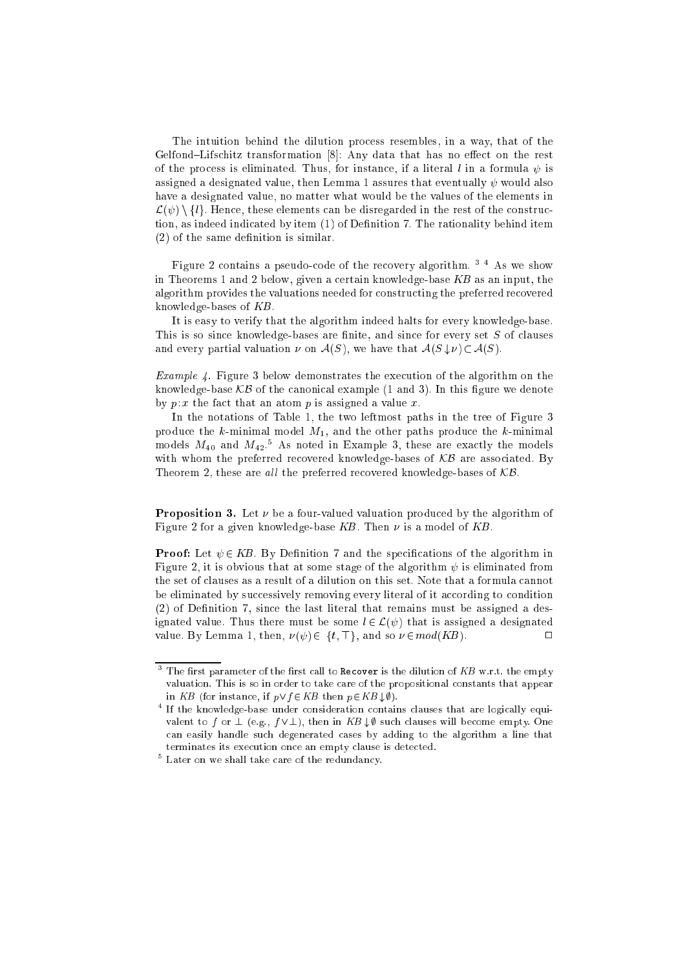The intuition behind the dilution process resembles, in a way, that of the Gelfond–Lifschitz transformation  $[8]$ : Any data that has no effect on the rest of the process is eliminated. Thus, for instance, if a literal l in a formula  $\psi$  is assigned a designated value, then Lemma 1 assures that eventually  $\psi$  would also have a designated value, no matter what would be the values of the elements in  $\mathcal{L}(\psi) \setminus \{l\}$ . Hence, these elements can be disregarded in the rest of the construction, as indeed indicated by item (1) of Definition 7. The rationality behind item  $(2)$  of the same definition is similar.

Figure <sup>2</sup> contains <sup>a</sup> pseudo-code of the recovery algorithm. <sup>3</sup> <sup>4</sup> As we show in Theorems 1 and 2 below, given a certain knowledge-base KB as an input, the algorithm provides the valuations needed for constructing the preferred recovered knowledge-bases of KB.

It is easy to verify that the algorithm indeed halts for every knowledge-base. This is so since knowledge-bases are finite, and since for every set  $S$  of clauses and every partial valuation  $\nu$  on  $\mathcal{A}(S)$ , we have that  $\mathcal{A}(S \downarrow \nu) \subset \mathcal{A}(S)$ .

Example 4. Figure <sup>3</sup> below demonstrates the execution of the algorithm on the knowledge-base  $KB$  of the canonical example (1 and 3). In this figure we denote by  $p: x$  the fact that an atom p is assigned a value x.

In the notations of Table 1, the two leftmost paths in the tree of Figure 3 produce the  $k$ -minimal model  $M_1$ , and the other paths produce the  $k$ -minimal models  $M_{40}$  and  $M_{42}$ .<sup>5</sup> As noted in Example 3, these are exactly the models with whom the preferred recovered knowledge-bases of  $KB$  are associated. By Theorem 2, these are all the preferred recovered knowledge-bases of  $KB$ .

**Proposition 3.** Let  $\nu$  be a four-valued valuation produced by the algorithm of Figure 2 for a given knowledge-base KB. Then  $\nu$  is a model of KB.

**Proof:** Let  $\psi \in KB$ . By Definition 7 and the specifications of the algorithm in Figure 2, it is obvious that at some stage of the algorithm  $\psi$  is eliminated from the set of clauses as a result of a dilution on this set. Note that a formula cannot be eliminated by successively removing every literal of it according to condition  $(2)$  of Definition 7, since the last literal that remains must be assigned a designated value. Thus there must be some  $l \in \mathcal{L}(\psi)$  that is assigned a designated value. By Lemma 1, then,  $\nu(\psi) \in \{t, \top\}$ , and so  $\nu \in mod(KB)$ .

 $^\circ$  The first parameter of the first call to <code>kecover</code> is the dilution of  $\mathit{KB}$  w.r.t. the empty valuation. This is so in order to take care of the propositional constants that appear in KB (for instance, if  $p \lor f \in KB$  then  $p \in KB \downarrow \emptyset$ ).

<sup>4</sup> If the knowledge-base under consideration contains clauses that are logically equivalent to f or  $\perp$  (e.g.,  $f \vee \perp$ ), then in  $KB \downarrow \emptyset$  such clauses will become empty. One can easily handle such degenerated cases by adding to the algorithm a line that terminates its execution once an empty clause is detected.

<sup>5</sup> Later on we shall take care of the redundancy.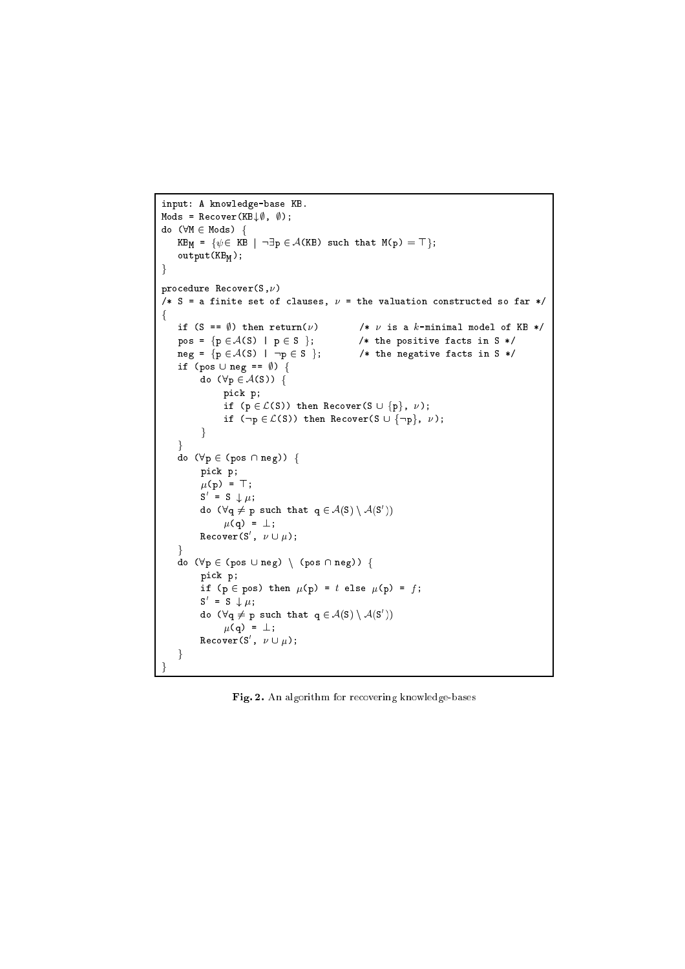```
input: A knowledge-base KB.
\texttt{Mods} = \texttt{Recover}(\texttt{KB} \downarrow \emptyset, \emptyset);do (\forall M \in Mods) {
    KB_M = \{\psi \in KB \ | \ \neg \exists p \in \mathcal{A}(KB) \text{ such that } M(p) = \top\};output(KB_M);
\}procedure Recover(S,\nu)
/* S = a finite set of clauses, \nu = the valuation constructed so far */
f
    if (S == \emptyset) then return(\nu) /* \nu is a k-minimal model of KB */
    pos = {p \in \mathcal{A}(S) | p \in S}; /* the positive facts in S */
    neg = \{p \in \mathcal{A}(S) \mid \neg p \in S \}; /* the negative facts in S */
    if (pos \cup neg == \emptyset) {
           do (\forall p \in A(S)) {
                 pick p;
                 if (p \in \mathcal{L}(S)) then Recover(S \cup {p}, \nu);
                 if (\neg p \in \mathcal{L}(S)) then Recover(S \cup {\neg p}, \nu);
           \mathcal{E}\mathcal{E}do (\forall p \in (pos \cap neg)) {
          pick p;
           \mu(p) = \top;S = S \downarrow \mu;
           do (Vq \neq p such that q \in A(S) \ A(S ))
                \mu(q) = \perp;<code>Recover(S</code> , \nu \cup \mu);
     \mathcal{E}do (\forall p \in (pos \cup neg) \setminus (pos \cap neg)) {
          pick p;
           if (p \in pos) then \mu(p) = t else \mu(p) = f;
           S = S \downarrow \mu;
           do (Vq \neq p such that q \in A(S) \ A(S ))
                \mu(q) = \perp;<code>Recover</code> (S , \nu \cup \mu);
    \left\{ \right\}
```
Fig. 2. An algorithm for recovering knowledge-bases

<sup>g</sup>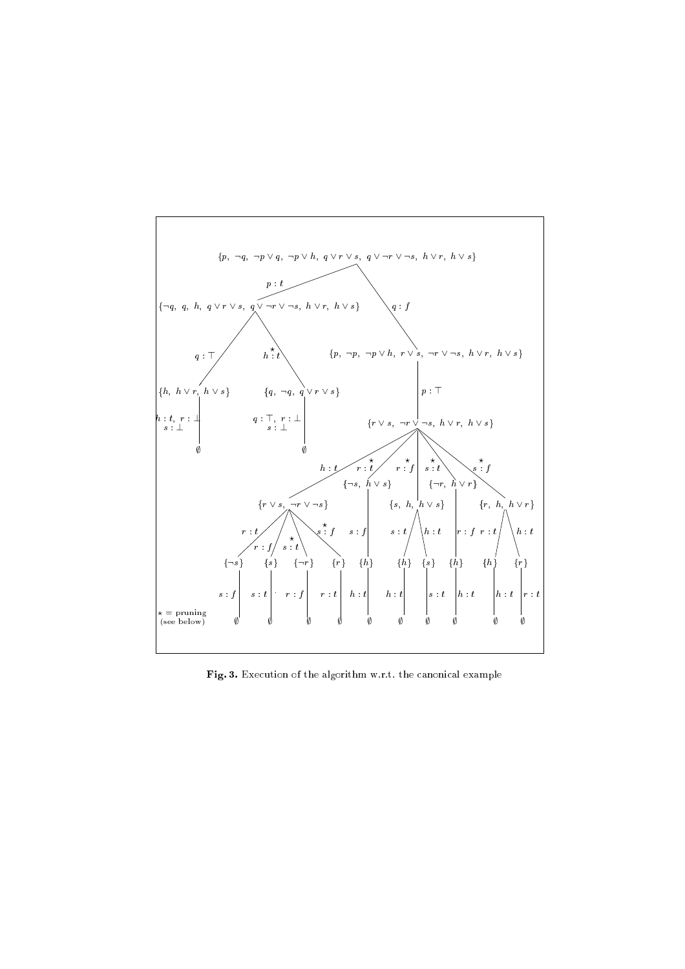

Fig. 3. Execution of the algorithm w.r.t. the canonical example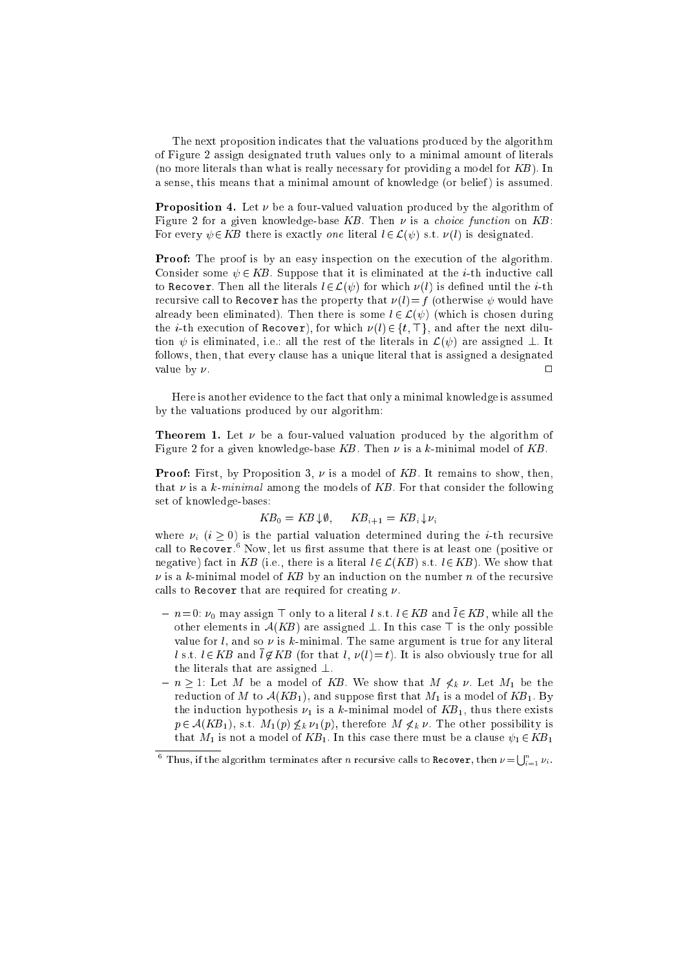The next proposition indicates that the valuations produced by the algorithm of Figure 2 assign designated truth values only to a minimal amount of literals (no more literals than what is really necessary for providing a model for  $KB$ ). In a sense, this means that a minimal amount of knowledge (or belief) is assumed.

**Proposition 4.** Let  $\nu$  be a four-valued valuation produced by the algorithm of Figure 2 for a given knowledge-base  $KB$ . Then  $\nu$  is a *choice function* on  $KB$ : For every  $\psi \in KB$  there is exactly one literal  $l \in \mathcal{L}(\psi)$  s.t.  $\nu(l)$  is designated.

Proof: The proof is by an easy inspection on the execution of the algorithm. Consider some  $\psi \in KB$ . Suppose that it is eliminated at the *i*-th inductive call to Recover. Then all the literals  $l \in \mathcal{L}(\psi)$  for which  $\nu(l)$  is defined until the *i*-th recursive call to Recover has the property that  $\nu(l)=f$  (otherwise  $\psi$  would have already been eliminated). Then there is some  $l \in \mathcal{L}(\psi)$  (which is chosen during the *i*-th execution of Recover), for which  $\nu(l) \in \{t, \top\}$ , and after the next dilution  $\psi$  is eliminated, i.e.: all the rest of the literals in  $\mathcal{L}(\psi)$  are assigned  $\bot$ . It follows, then, that every clause has a unique literal that is assigned a designated value by  $\nu$ .

Here is another evidence to the fact that only a minimal knowledge is assumed by the valuations produced by our algorithm:

**Theorem 1.** Let  $\nu$  be a four-valued valuation produced by the algorithm of Figure 2 for a given knowledge-base KB. Then  $\nu$  is a k-minimal model of KB.

**Proof:** First, by Proposition 3,  $\nu$  is a model of KB. It remains to show, then, that  $\nu$  is a k-minimal among the models of KB. For that consider the following set of knowledge-bases:

$$
KB_0 = KB \downarrow \emptyset, \qquad KB_{i+1} = KB_i \downarrow \nu_i
$$

where  $\nu_i$   $(i \geq 0)$  is the partial valuation determined during the *i*-th recursive call to recover." Now, let us first assume that there is at least one (positive or negative) fact in KB (i.e., there is a literal  $l \in \mathcal{L}(KB)$  s.t.  $l \in KB$ ). We show that  $\nu$  is a k-minimal model of KB by an induction on the number n of the recursive calls to Recover that are required for creating  $\nu$ .

- ${ -n=0: \nu_0 \text{ may assign } \top \text{ only to a literal } l \text{ s.t. } l \in KB \text{ and } l \in KB, \text{ while all the } \top \text{ is the same.}$ other elements in  $A(KB)$  are assigned  $\perp$ . In this case  $\top$  is the only possible value for  $l$ , and so  $\nu$  is  $k$ -minimal. The same argument is true for any literal l s.t.  $l \in KB$  and  $\overline{l} \notin KB$  (for that l,  $\nu(l) = t$ ). It is also obviously true for all the literals that are assigned  $\perp$ .
- $n \geq 1$ : Let M be a model of KB. We show that  $M \nless k \nu$ . Let  $M_1$  be the reduction of M to  $A(KB_1)$ , and suppose first that  $M_1$  is a model of  $KB_1$ . By the induction hypothesis  $\nu_1$  is a k-minimal model of  $KB_1$ , thus there exists  $p \in \mathcal{A}(KB_1)$ , s.t.  $M_1(p) \nleq_k \nu_1(p)$ , therefore  $M \nleq_k \nu$ . The other possibility is that  $M_1$  is not a model of  $KB_1$ . In this case there must be a clause  $\psi_1 \in KB_1$

 $^6$  Thus, if the algorithm terminates after n recursive calls to Recover, then  $\nu = \bigcup_{i=1}^n \nu_i$ .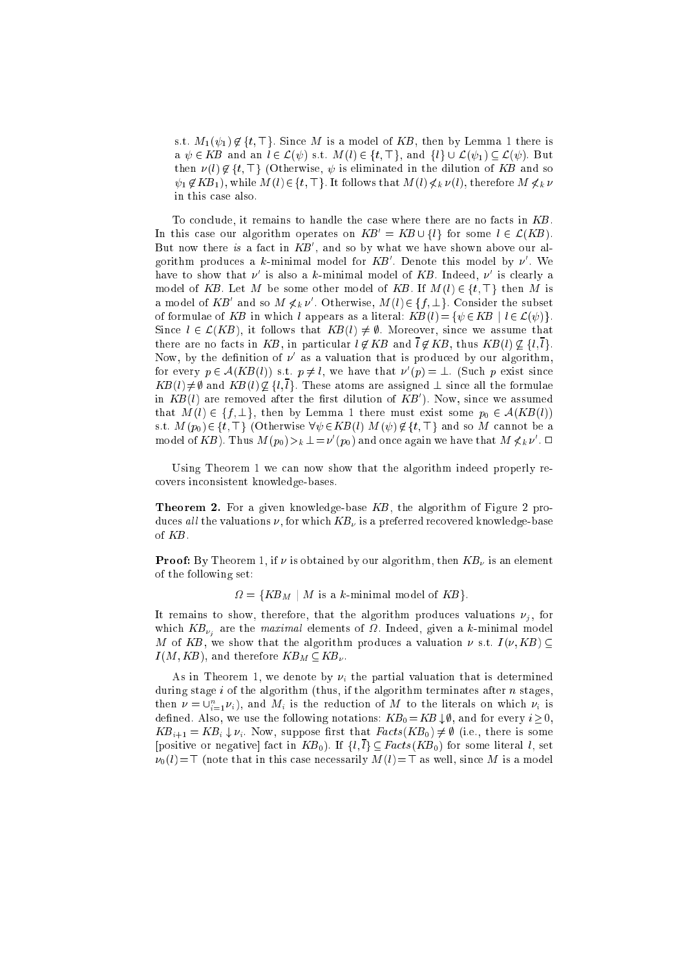s.t.  $M_1(\psi_1) \notin \{t, \top\}$ . Since M is a model of KB, then by Lemma 1 there is a  $\psi \in KB$  and an  $l \in \mathcal{L}(\psi)$  s.t.  $M(l) \in \{t, \top\}$ , and  $\{l\} \cup \mathcal{L}(\psi_1) \subseteq \mathcal{L}(\psi)$ . But then  $\nu(l) \notin \{t, \top\}$  (Otherwise,  $\psi$  is eliminated in the dilution of KB and so  $\psi_1 \notin KB_1$ , while  $M(l) \in \{t, \top\}$ . It follows that  $M(l) \nless k \nu(l)$ , therefore  $M \nless k \nu$ in this case also.

To conclude, it remains to handle the case where there are no facts in KB. In this case our algorithm operates on  $KB' = KB \cup \{l\}$  for some  $l \in \mathcal{L}(KB)$ . But now there is a fact in  $KB'$ , and so by what we have shown above our algorithm produces a k-minimal model for  $KB'$ . Denote this model by  $\nu'$ . We have to show that  $\nu'$  is also a k-minimal model of KB. Indeed,  $\nu'$  is clearly a model of KB. Let M be some other model of KB. If  $M(l) \in \{t, \top\}$  then M is a model of  $KB'$  and so  $M \nless k \nu'$ . Otherwise,  $M(l) \in \{f, \perp\}$ . Consider the subset of formulae of KB in which l appears as a literal:  $KB(l) = \{ \psi \in KB \mid l \in \mathcal{L}(\psi) \}.$ Since  $l \in \mathcal{L}(KB)$ , it follows that  $KB(l) \neq \emptyset$ . Moreover, since we assume that there are no facts in KB, in particular  $l \notin KB$  and  $\overline{l} \notin KB$ , thus  $KB(l) \nsubseteq \{l, \overline{l}\}$ . Now, by the definition of  $\nu$  as a valuation that is produced by our algorithm, for every  $p \in A(KB(l))$  s.t.  $p \neq l$ , we have that  $\nu'(p) = \bot$ . (Such p exist since  $KB(l) \neq \emptyset$  and  $KB(l) \nsubseteq \{l, \overline{l}\}\.$  These atoms are assigned  $\bot$  since all the formulae in  $KB(l)$  are removed after the first dilution of  $KB'$ ). Now, since we assumed that  $M(l) \in \{f, \perp\}$ , then by Lemma 1 there must exist some  $p_0 \in \mathcal{A}(KB(l))$ s.t.  $M(p_0) \in \{t, \top\}$  (Otherwise  $\forall \psi \in KB(l) \ M(\psi) \notin \{t, \top\}$  and so M cannot be a model of  $KB$ ). Thus  $M(p_0) >_k \perp = \nu'(p_0)$  and once again we have that  $M \nless k \nu'$ .  $\Box$ 

Using Theorem 1 we can now show that the algorithm indeed properly recovers inconsistent knowledge-bases.

Theorem 2. For a given knowledge-base KB, the algorithm of Figure 2 produces all the valuations  $\nu$ , for which  $KB_{\nu}$  is a preferred recovered knowledge-base of KB.

**Proof:** By Theorem 1, if  $\nu$  is obtained by our algorithm, then  $KB_{\nu}$  is an element of the following set:

 $\Omega = \{KB_M \mid M \text{ is a } k\text{-minimal model of } KB\}.$ 

It remains to show, therefore, that the algorithm produces valuations  $\nu_i$ , for which  $KB_{\nu_i}$  are the maximal elements of  $\Omega$ . Indeed, given a k-minimal model M of KB, we show that the algorithm produces a valuation  $\nu$  s.t.  $I(\nu, KB) \subseteq$  $I(M, KB)$ , and therefore  $KB_M \subseteq KB_\nu$ .

As in Theorem 1, we denote by  $\nu_i$  the partial valuation that is determined during stage  $i$  of the algorithm (thus, if the algorithm terminates after  $n$  stages, then  $\nu = \cup_{i=1}^n \nu_i$ , and  $M_i$  is the reduction of M to the literals on which  $\nu_i$  is defined. Also, we use the following notations:  $KB_0 = KB \downarrow \emptyset$ , and for every  $i \geq 0$ ,  $KB_{i+1} = KB_i \downarrow \nu_i$ . Now, suppose first that  $Facts(KB_0) \neq \emptyset$  (i.e., there is some [positive or negative] fact in  $KB_0$ ). If  $\{l, l\} \subseteq Facts(KB_0)$  for some literal l, set  $\nu_0(l) = \top$  (note that in this case necessarily  $M(l) = \top$  as well, since M is a model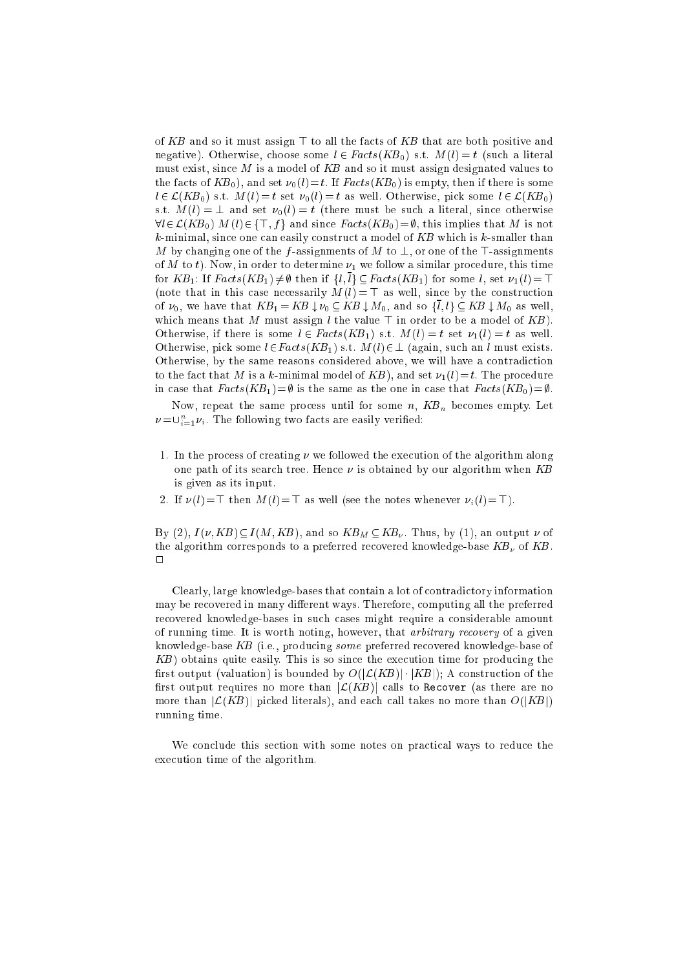of KB and so it must assign  $\top$  to all the facts of KB that are both positive and negative). Otherwise, choose some  $l \in Facts(KB_0)$  s.t.  $M(l) = t$  (such a literal must exist, since  $M$  is a model of  $KB$  and so it must assign designated values to the facts of  $KB_0$ , and set  $\nu_0(l)=t$ . If  $Facts(KB_0)$  is empty, then if there is some  $l \in \mathcal{L}(KB_0)$  s.t.  $M(l) = t$  set  $\nu_0(l) = t$  as well. Otherwise, pick some  $l \in \mathcal{L}(KB_0)$ s.t.  $M(l) = \perp$  and set  $\nu_0(l) = t$  (there must be such a literal, since otherwise  $\forall l \in \mathcal{L}(KB_0) \ M(l) \in \{\top, f\}$  and since  $Facts(KB_0) = \emptyset$ , this implies that M is not  $k$ -minimal, since one can easily construct a model of  $KB$  which is  $k$ -smaller than M by changing one of the f-assignments of M to  $\perp$ , or one of the T-assignments of M to t). Now, in order to determine  $\nu_1$  we follow a similar procedure, this time for  $KB_1$ : If  $Facts(KB_1) \neq \emptyset$  then if  $\{l,\overline{l}\} \subseteq Facts(KB_1)$  for some l, set  $\nu_1(l) = \top$ (note that in this case necessarily  $M(l) = \top$  as well, since by the construction of  $\nu_0$ , we have that  $KB_1 = KB \downarrow \nu_0 \subseteq KB \downarrow M_0$ , and so  $\{l, l\} \subseteq KB \downarrow M_0$  as well, which means that M must assign l the value  $\top$  in order to be a model of KB). Otherwise, if there is some  $l \in Facts(KB_1)$  s.t.  $M(l) = t$  set  $\nu_1(l) = t$  as well. Otherwise, pick some  $l \in Facts(KB_1)$  s.t.  $M(l) \in \bot$  (again, such an l must exists. Otherwise, by the same reasons considered above, we will have a contradiction to the fact that M is a k-minimal model of KB), and set  $\nu_1(l)=t$ . The procedure in case that  $Facts(KB_1)=\emptyset$  is the same as the one in case that  $Facts(KB_0)=\emptyset$ .

Now, repeat the same process until for some  $n$ ,  $KB_n$  becomes empty. Let  $\nu \! = \! \cup_{i=1}^{\infty} \nu_i$  . The following two facts are easily verified:

- 1. In the process of creating  $\nu$  we followed the execution of the algorithm along one path of its search tree. Hence  $\nu$  is obtained by our algorithm when KB is given as its input.
- 2. If  $\nu(l)=\top$  then  $M(l)=\top$  as well (see the notes whenever  $\nu_i(l)=\top$ ).

By (2),  $I(\nu, KB) \subseteq I(M, KB)$ , and so  $KB_M \subseteq KB_\nu$ . Thus, by (1), an output  $\nu$  of the algorithm corresponds to a preferred recovered knowledge-base  $KB<sub>\nu</sub>$ </sub> of  $KB$ .  $\Box$ 

Clearly, large knowledge-bases that contain a lot of contradictory information may be recovered in many different ways. Therefore, computing all the preferred recovered knowledge-bases in such cases might require a considerable amount of running time. It is worth noting, however, that arbitrary recovery of a given knowledge-base KB (i.e., producing some preferred recovered knowledge-base of  $KB)$  obtains quite easily. This is so since the execution time for producing the first output (valuation) is bounded by  $O(|\mathcal{L}(KB)| \cdot |KB|)$ ; A construction of the first output requires no more than  $|\mathcal{L}(KB)|$  calls to Recover (as there are no more than  $|\mathcal{L}(KB)|$  picked literals), and each call takes no more than  $O(|KB|)$ running time.

We conclude this section with some notes on practical ways to reduce the execution time of the algorithm.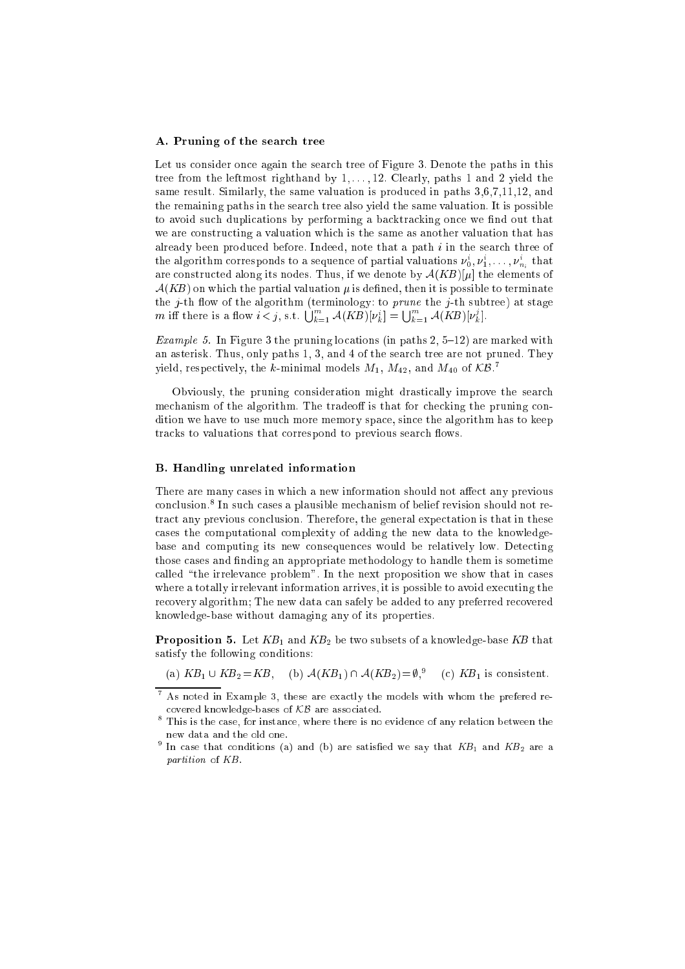#### A. Pruning of the search tree

Let us consider once again the search tree of Figure 3. Denote the paths in this tree from the leftmost righthand by  $1, \ldots, 12$ . Clearly, paths 1 and 2 yield the same result. Similarly, the same valuation is produced in paths 3,6,7,11,12, and the remaining paths in the search tree also yield the same valuation. It is possible to avoid such duplications by performing a backtracking once we find out that we are constructing a valuation which is the same as another valuation that has already been produced before. Indeed, note that a path  $i$  in the search three of the algorithm corresponds to a sequence of partial valuations  $\nu^{\circ}_0, \nu^{\circ}_1, \ldots, \nu^{\circ}_{n_i}$  that are constructed along its nodes. Thus, if we denote by  $\mathcal{A}(KB)[\mu]$  the elements of  $A(KB)$  on which the partial valuation  $\mu$  is defined, then it is possible to terminate the  $j$ -th flow of the algorithm (terminology: to *prune* the  $j$ -th subtree) at stage m iff there is a flow  $i < j$ , s.t.  $\bigcup_{k=1}^{m} \mathcal{A}(KB)[\nu_k^i] = \bigcup_{k=1}^{m} \mathcal{A}(KB)[\nu_k^j]$ .

Example 3. In Figure 3 the problems  $\alpha$  is the paths  $\alpha$  ,  $\alpha$  ,  $\alpha$  ,  $\alpha$  is marked with an asterisk. Thus, only paths 1, 3, and 4 of the search tree are not pruned. They yield, respectively, the *k*-minimal models  $M_1,\,M_{42},$  and  $M_{40}$  of  $\mathcal{KB}$ .

Obviously, the pruning consideration might drastically improve the search mechanism of the algorithm. The tradeoff is that for checking the pruning condition we have to use much more memory space, since the algorithm has to keep tracks to valuations that correspond to previous search flows.

#### B. Handling unrelated information

There are many cases in which a new information should not affect any previous conclusion." In such cases a plausible mechanism of belief revision should not retract any previous conclusion. Therefore, the general expectation is that in these cases the computational complexity of adding the new data to the knowledgebase and computing its new consequences would be relatively low. Detecting those cases and finding an appropriate methodology to handle them is sometime called "the irrelevance problem". In the next proposition we show that in cases where a totally irrelevant information arrives, it is possible to avoid executing the recovery algorithm; The new data can safely be added to any preferred recovered knowledge-base without damaging any of its properties.

**Proposition 5.** Let  $KB_1$  and  $KB_2$  be two subsets of a knowledge-base KB that satisfy the following conditions:

(a) 
$$
KB_1 \cup KB_2 = KB
$$
, (b)  $\mathcal{A}(KB_1) \cap \mathcal{A}(KB_2) = \emptyset$ <sup>9</sup>, (c)  $KB_1$  is consistent.

<sup>7</sup> As noted in Example 3, these are exactly the models with whom the prefered recovered knowledge-bases of KB are associated.

This is the case, for instance, where there is no evidence of any relation between the new data and the old one.

 $^{\circ}$  In case that conditions (a) and (b) are satisfied we say that KB<sub>1</sub> and KB<sub>2</sub> are a partition of KB.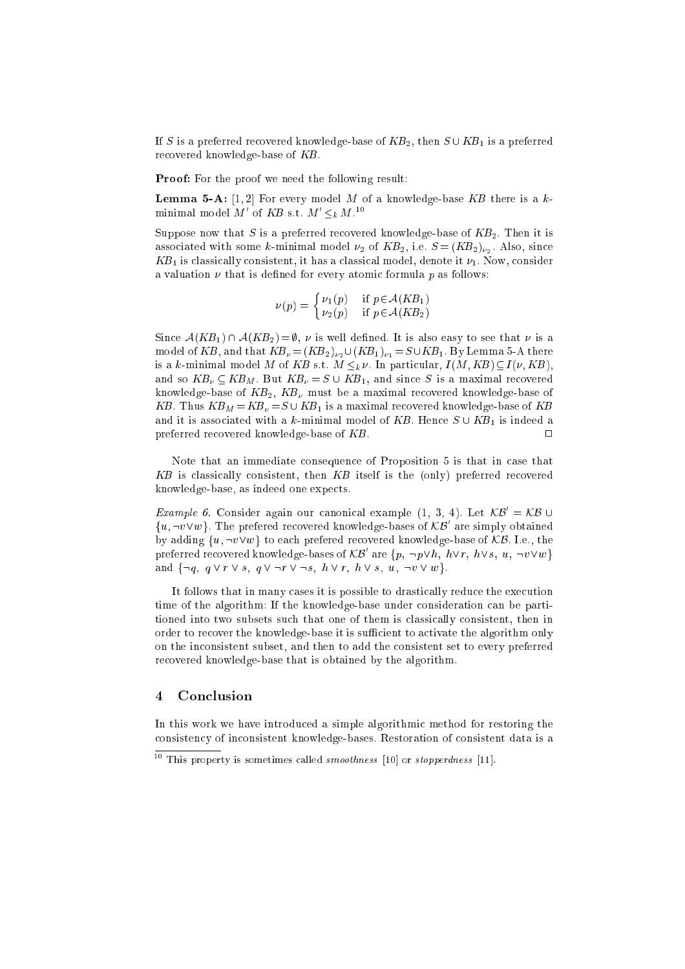If S is a preferred recovered knowledge-base of  $K\!B_2$ , then  $S\cup K\!B_1$  is a preferred recovered knowledge-base of KB.

**Proof:** For the proof we need the following result:

**Lemma 5-A:**  $[1, 2]$  For every model M of a knowledge-base KB there is a kminimal model M' of KB s.t.  $M' \leq_k M$ .<sup>10</sup>

Suppose now that S is a preferred recovered knowledge-base of  $KB<sub>2</sub>$ . Then it is associated with some k-minimal model  $\nu_2$  of  $KB_2$ , i.e.  $S = (KB_2)_{\nu_2}$ . Also, since  $KB_1$  is classically consistent, it has a classical model, denote it  $\nu_1.$  Now, consider a valuation  $\nu$  that is defined for every atomic formula p as follows:

$$
\nu(p) = \begin{cases} \nu_1(p) & \text{if } p \in \mathcal{A}(KB_1) \\ \nu_2(p) & \text{if } p \in \mathcal{A}(KB_2) \end{cases}
$$

Since  $A(KB_1) \cap A(KB_2) = \emptyset$ ,  $\nu$  is well defined. It is also easy to see that  $\nu$  is a model of KB, and that  $KB_{\nu} = (KB_2)_{\nu} \cup (KB_1)_{\nu} = S \cup KB_1$ . By Lemma 5-A there is a k-minimal model M of KB s.t.  $M \leq_k \nu$ . In particular,  $I(M, KB) \subseteq I(\nu, KB)$ , and so  $KB_{\nu} \subseteq KB_{M}$ . But  $KB_{\nu} = S \cup KB_{1}$ , and since S is a maximal recovered knowledge-base of  $KB_2$ ,  $KB_\nu$  must be a maximal recovered knowledge-base of KB. Thus  $KB_M = KB_v = S \cup KB_1$  is a maximal recovered knowledge-base of KB and it is associated with a *k*-minimal model of *KB*. Hence  $S \cup KB_{1}$  is indeed a preferred recovered knowledge-base of  $KB$ .

Note that an immediate consequence of Proposition 5 is that in case that KB is classically consistent, then KB itself is the (only) preferred recovered knowledge-base, as indeed one expects.

*Example 6.* Consider again our canonical example  $(1, 3, 4)$ . Let  $\mathcal{A}\mathcal{B} = \mathcal{A}\mathcal{B}\cup\mathcal{B}$  $\{u, \neg v \lor w\}$ . The prefered recovered knowledge-bases of  $\mathcal{KB}\;$  are simply obtained by adding  $\{u, \neg v \vee w\}$  to each prefered recovered knowledge-base of KB. I.e., the preferred recovered knowledge-bases of  $\mathcal{KB}'$  are  $\{p, \neg p\lor h, \ h\lor r, \ h\lor s, \ u, \neg v\lor w\}$ and  $\{\neg q, q \lor r \lor s, q \lor \neg r \lor \neg s, h \lor r, h \lor s, u, \neg v \lor w\}.$ 

It follows that in many cases it is possible to drastically reduce the execution time of the algorithm: If the knowledge-base under consideration can be partitioned into two subsets such that one of them is classically consistent, then in order to recover the knowledge-base it is sufficient to activate the algorithm only on the inconsistent subset, and then to add the consistent set to every preferred recovered knowledge-base that is obtained by the algorithm.

### 4 Conclusion

In this work we have introduced a simple algorithmic method for restoring the consistency of inconsistent knowledge-bases. Restoration of consistent data is a

<sup>1</sup> ms property is sometimes called smoothness  $[10]$  or stopperaness  $[11]$ .